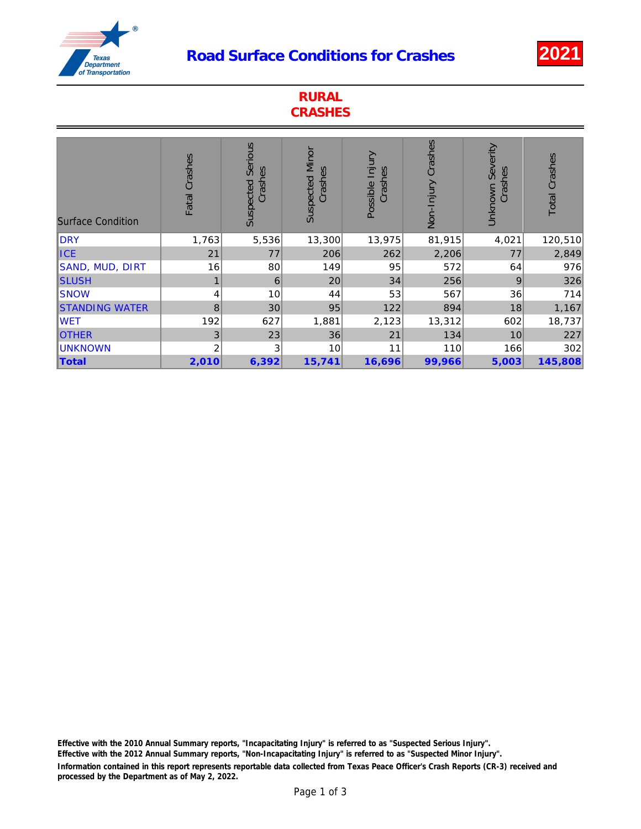## Road Surface Conditions for Crashes 2021



| <b>RURAL</b><br><b>CRASHES</b> |                |                                        |                                   |                            |                    |                                |                      |
|--------------------------------|----------------|----------------------------------------|-----------------------------------|----------------------------|--------------------|--------------------------------|----------------------|
| <b>Surface Condition</b>       | Fatal Crashes  | <b>Serious</b><br>Crashes<br>Suspected | <b>Suspected Minor</b><br>Crashes | Possible Injury<br>Crashes | Non-Injury Crashes | Severity<br>Crashes<br>Unknown | <b>Total Crashes</b> |
| DRY                            | 1,763          | 5,536                                  | 13,300                            | 13,975                     | 81,915             | 4,021                          | 120,510              |
| <b>ICE</b>                     | 21             | 77                                     | 206                               | 262                        | 2,206              | 77                             | 2,849                |
| SAND, MUD, DIRT                | 16             | 80                                     | 149                               | 95                         | 572                | 64                             | 976                  |
| <b>SLUSH</b>                   | $\mathbf{1}$   | 6                                      | 20                                | 34                         | 256                | 9                              | 326                  |
| <b>SNOW</b>                    | 4              | 10                                     | 44                                | 53                         | 567                | 36                             | 714                  |
| <b>STANDING WATER</b>          | 8              | 30                                     | 95                                | 122                        | 894                | 18                             | 1,167                |
| <b>WET</b>                     | 192            | 627                                    | 1,881                             | 2,123                      | 13,312             | 602                            | 18,737               |
| <b>OTHER</b>                   | 3              | 23                                     | 36                                | 21                         | 134                | 10                             | 227                  |
| <b>UNKNOWN</b>                 | $\overline{2}$ | 3                                      | 10                                | 11                         | 110                | 166                            | 302                  |
| Total                          | 2,010          | 6,392                                  | 15,741                            | 16,696                     | 99,966             | 5,003                          | 145,808              |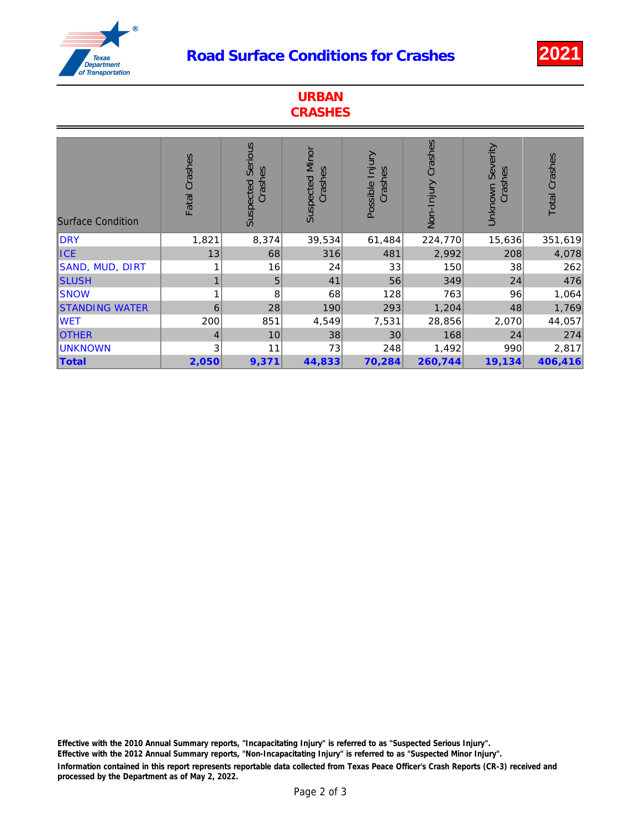## Road Surface Conditions for Crashes 2021



| <b>URBAN</b><br><b>CRASHES</b> |                |                                 |                            |                            |                    |                                |                      |
|--------------------------------|----------------|---------------------------------|----------------------------|----------------------------|--------------------|--------------------------------|----------------------|
| <b>Surface Condition</b>       | Fatal Crashes  | Serious<br>Crashes<br>Suspected | Suspected Minor<br>Crashes | Possible Injury<br>Crashes | Non-Injury Crashes | Severity<br>Crashes<br>Unknown | <b>Total Crashes</b> |
| <b>DRY</b>                     | 1,821          | 8,374                           | 39,534                     | 61,484                     | 224,770            | 15,636                         | 351,619              |
| <b>ICE</b>                     | 13             | 68                              | 316                        | 481                        | 2,992              | 208                            | 4,078                |
| SAND, MUD, DIRT                | 1              | 16                              | 24                         | 33                         | 150                | 38                             | 262                  |
| <b>SLUSH</b>                   | 1              | 5                               | 41                         | 56                         | 349                | 24                             | 476                  |
| <b>SNOW</b>                    | 1              | 8                               | 68                         | 128                        | 763                | 96                             | 1,064                |
| <b>STANDING WATER</b>          | 6              | 28                              | 190                        | 293                        | 1,204              | 48                             | 1,769                |
| <b>WET</b>                     | 200            | 851                             | 4,549                      | 7,531                      | 28,856             | 2,070                          | 44,057               |
| <b>OTHER</b>                   | $\overline{4}$ | 10                              | 38                         | 30                         | 168                | 24                             | 274                  |
| <b>UNKNOWN</b>                 | 3              | 11                              | 73                         | 248                        | 1,492              | 990                            | 2,817                |
| <b>Total</b>                   | 2,050          | 9,371                           | 44,833                     | 70,284                     | 260,744            | 19,134                         | 406,416              |

Information contained in this report represents reportable data collected from Texas Peace Officer's Crash Reports (CR-3) received and processed by the Department as of May 2, 2022. Effective with the 2010 Annual Summary reports, "Incapacitating Injury" is referred to as "Suspected Serious Injury". Effective with the 2012 Annual Summary reports, "Non-Incapacitating Injury" is referred to as "Suspected Minor Injury".